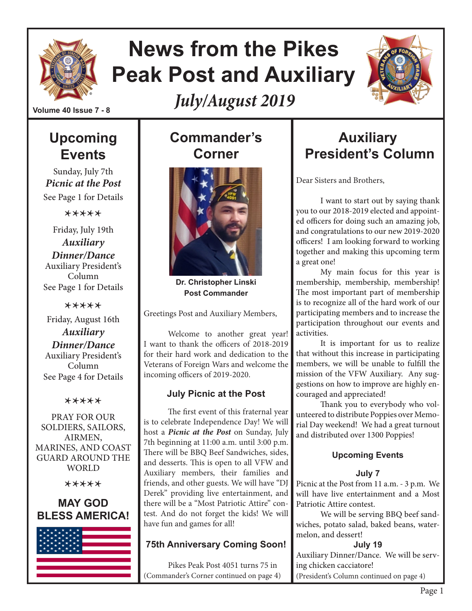

# **News from the Pikes Peak Post and Auxiliary**

*July/August 2019*



**Volume 40 Issue 7 - 8**

## **Upcoming Events**

Sunday, July 7th *Picnic at the Post* See Page 1 for Details

\*\*\*\*\*

Friday, July 19th *Auxiliary Dinner/Dance* Auxiliary President's Column See Page 1 for Details

\*\*\*\*\* Friday, August 16th *Auxiliary Dinner/Dance* Auxiliary President's Column See Page 4 for Details

#### \*\*\*\*\*

PRAY FOR OUR SOLDIERS, SAILORS, AIRMEN, MARINES, AND COAST GUARD AROUND THE WORLD

\*\*\*\*\*

#### **MAY GOD BLESS AMERICA!**



## **Commander's Corner**



**Dr. Christopher Linski Post Commander**

Greetings Post and Auxiliary Members,

Welcome to another great year! I want to thank the officers of 2018-2019 for their hard work and dedication to the Veterans of Foreign Wars and welcome the incoming officers of 2019-2020.

#### **July Picnic at the Post**

The first event of this fraternal year is to celebrate Independence Day! We will host a *Picnic at the Post* on Sunday, July 7th beginning at 11:00 a.m. until 3:00 p.m. There will be BBQ Beef Sandwiches, sides, and desserts. This is open to all VFW and Auxiliary members, their families and friends, and other guests. We will have "DJ Derek" providing live entertainment, and there will be a "Most Patriotic Attire" contest. And do not forget the kids! We will have fun and games for all!

#### **75th Anniversary Coming Soon!**

Pikes Peak Post 4051 turns 75 in (Commander's Corner continued on page 4)

## **Auxiliary President's Column**

Dear Sisters and Brothers,

I want to start out by saying thank you to our 2018-2019 elected and appointed officers for doing such an amazing job, and congratulations to our new 2019-2020 officers! I am looking forward to working together and making this upcoming term a great one!

My main focus for this year is membership, membership, membership! The most important part of membership is to recognize all of the hard work of our participating members and to increase the participation throughout our events and activities.

It is important for us to realize that without this increase in participating members, we will be unable to fulfill the mission of the VFW Auxiliary. Any suggestions on how to improve are highly encouraged and appreciated!

Thank you to everybody who volunteered to distribute Poppies over Memorial Day weekend! We had a great turnout and distributed over 1300 Poppies!

#### **Upcoming Events**

#### **July 7**

Picnic at the Post from 11 a.m. - 3 p.m. We will have live entertainment and a Most Patriotic Attire contest.

We will be serving BBQ beef sandwiches, potato salad, baked beans, watermelon, and dessert!

#### **July 19**

Auxiliary Dinner/Dance. We will be serving chicken cacciatore! (President's Column continued on page 4)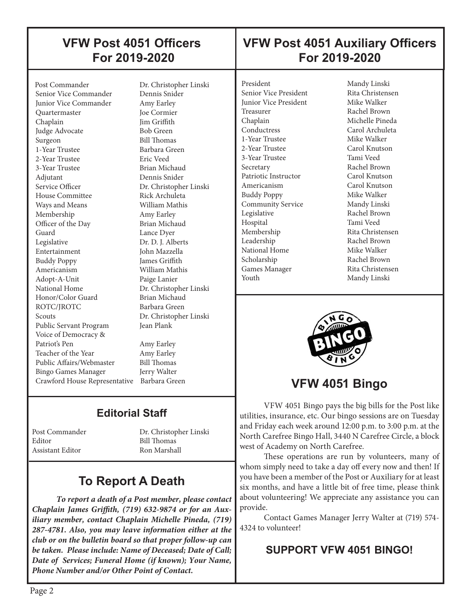## **VFW Post 4051 Officers For 2019-2020**

## **VFW Post 4051 Auxiliary Officers For 2019-2020**

Post Commander Dr. Christopher Linski<br>Senior Vice Commander Dennis Snider Senior Vice Commander Junior Vice Commander Amy Earley Quartermaster Joe Cormier Chaplain Jim Griffith Judge Advocate Bob Green Surgeon Bill Thomas 1-Year Trustee Barbara Green 2-Year Trustee Eric Veed 3-Year Trustee Brian Michaud Adjutant Dennis Snider Service Officer Dr. Christopher Linski House Committee Rick Archuleta Ways and Means **William Mathis**  Membership Amy Earley Officer of the Day Brian Michaud Guard Lance Dyer Legislative Dr. D. J. Alberts Entertainment John Mazzella Buddy Poppy James Griffith Americanism William Mathis Adopt-A-Unit Paige Lanier National Home Dr. Christopher Linski<br>Honor/Color Guard Brian Michaud Honor/Color Guard ROTC/IROTC Barbara Green Scouts Dr. Christopher Linski Public Servant Program Jean Plank Voice of Democracy & Patriot's Pen Amy Earley Teacher of the Year Amy Earley Public Affairs/Webmaster Bill Thomas<br>Bingo Games Manager Jerry Walter Bingo Games Manager Crawford House Representative Barbara Green

 $\overline{\phantom{a}}$ 

## **Editorial Staff**

Editor Bill Thomas Assistant Editor Ron Marshall

Post Commander Dr. Christopher Linski

## **To Report A Death**

*To report a death of a Post member, please contact Chaplain James Griffith, (719) 632-9874 or for an Auxiliary member, contact Chaplain Michelle Pineda, (719) 287-4781. Also, you may leave information either at the club or on the bulletin board so that proper follow-up can be taken. Please include: Name of Deceased; Date of Call; Date of Services; Funeral Home (if known); Your Name, Phone Number and/or Other Point of Contact.*

President Mandy Linski Senior Vice President Rita Christensen **Junior Vice President Mike Walker** Treasurer Rachel Brown Chaplain Michelle Pineda Conductress Carol Archuleta 1-Year Trustee Mike Walker 2-Year Trustee Carol Knutson 3-Year Trustee Tami Veed Secretary Rachel Brown Patriotic Instructor Carol Knutson Americanism Carol Knutson Buddy Poppy Community Service Mandy Linski Legislative Rachel Brown Hospital Tami Veed Membership Rita Christensen Leadership Rachel Brown National Home Mike Walker Scholarship Rachel Brown Games Manager Rita Christensen Youth Mandy Linski

┠

I i



## **VFW 4051 Bingo**

VFW 4051 Bingo pays the big bills for the Post like utilities, insurance, etc. Our bingo sessions are on Tuesday and Friday each week around 12:00 p.m. to 3:00 p.m. at the North Carefree Bingo Hall, 3440 N Carefree Circle, a block west of Academy on North Carefree.

These operations are run by volunteers, many of whom simply need to take a day off every now and then! If you have been a member of the Post or Auxiliary for at least six months, and have a little bit of free time, please think about volunteering! We appreciate any assistance you can provide.

Contact Games Manager Jerry Walter at (719) 574- 4324 to volunteer!

#### **SUPPORT VFW 4051 BINGO!**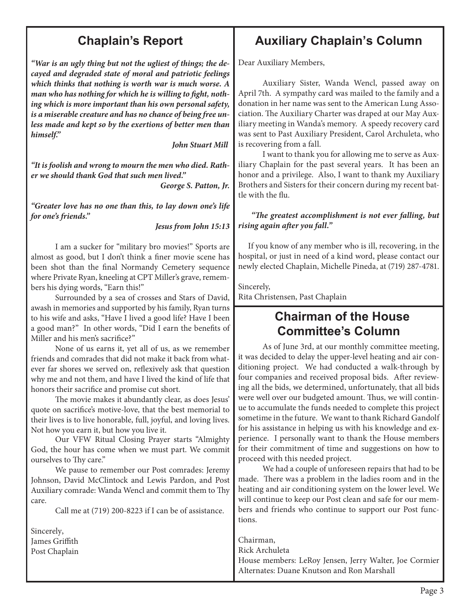## **Chaplain's Report**

*"War is an ugly thing but not the ugliest of things; the decayed and degraded state of moral and patriotic feelings which thinks that nothing is worth war is much worse. A man who has nothing for which he is willing to fight, nothing which is more important than his own personal safety, is a miserable creature and has no chance of being free unless made and kept so by the exertions of better men than himself."* 

 *John Stuart Mill*

*"It is foolish and wrong to mourn the men who died. Rather we should thank God that such men lived."* 

 *George S. Patton, Jr.*

*"Greater love has no one than this, to lay down one's life for one's friends."* 

 *Jesus from John 15:13*

I am a sucker for "military bro movies!" Sports are almost as good, but I don't think a finer movie scene has been shot than the final Normandy Cemetery sequence where Private Ryan, kneeling at CPT Miller's grave, remembers his dying words, "Earn this!"

Surrounded by a sea of crosses and Stars of David, awash in memories and supported by his family, Ryan turns to his wife and asks, "Have I lived a good life? Have I been a good man?" In other words, "Did I earn the benefits of Miller and his men's sacrifice?"

None of us earns it, yet all of us, as we remember friends and comrades that did not make it back from whatever far shores we served on, reflexively ask that question why me and not them, and have I lived the kind of life that honors their sacrifice and promise cut short.

The movie makes it abundantly clear, as does Jesus' quote on sacrifice's motive-love, that the best memorial to their lives is to live honorable, full, joyful, and loving lives. Not how you earn it, but how you live it.

Our VFW Ritual Closing Prayer starts "Almighty God, the hour has come when we must part. We commit ourselves to Thy care."

We pause to remember our Post comrades: Jeremy Johnson, David McClintock and Lewis Pardon, and Post Auxiliary comrade: Wanda Wencl and commit them to Thy care.

Call me at (719) 200-8223 if I can be of assistance.

Sincerely, James Griffith Post Chaplain

## **Auxiliary Chaplain's Column**

Dear Auxiliary Members,

Auxiliary Sister, Wanda Wencl, passed away on April 7th. A sympathy card was mailed to the family and a donation in her name was sent to the American Lung Association. The Auxiliary Charter was draped at our May Auxiliary meeting in Wanda's memory. A speedy recovery card was sent to Past Auxiliary President, Carol Archuleta, who is recovering from a fall.

I want to thank you for allowing me to serve as Auxiliary Chaplain for the past several years. It has been an honor and a privilege. Also, I want to thank my Auxiliary Brothers and Sisters for their concern during my recent battle with the flu.

#### *"The greatest accomplishment is not ever falling, but rising again after you fall."*

 If you know of any member who is ill, recovering, in the hospital, or just in need of a kind word, please contact our newly elected Chaplain, Michelle Pineda, at (719) 287-4781.

Sincerely, Rita Christensen, Past Chaplain

## **Chairman of the House Committee's Column**

As of June 3rd, at our monthly committee meeting, it was decided to delay the upper-level heating and air conditioning project. We had conducted a walk-through by four companies and received proposal bids. After reviewing all the bids, we determined, unfortunately, that all bids were well over our budgeted amount. Thus, we will continue to accumulate the funds needed to complete this project sometime in the future. We want to thank Richard Gandolf for his assistance in helping us with his knowledge and experience. I personally want to thank the House members for their commitment of time and suggestions on how to proceed with this needed project.

We had a couple of unforeseen repairs that had to be made. There was a problem in the ladies room and in the heating and air conditioning system on the lower level. We will continue to keep our Post clean and safe for our members and friends who continue to support our Post functions.

Chairman, Rick Archuleta House members: LeRoy Jensen, Jerry Walter, Joe Cormier Alternates: Duane Knutson and Ron Marshall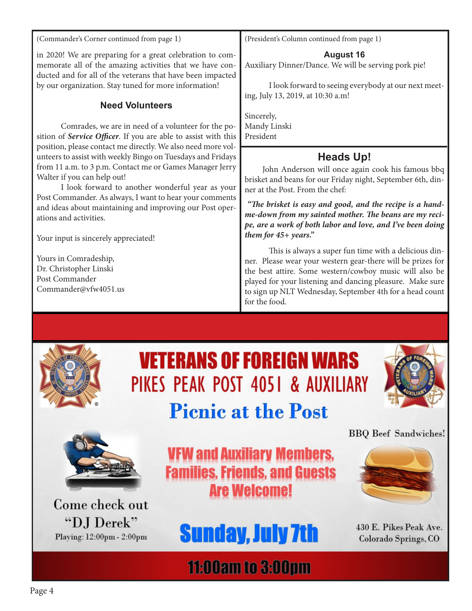(Commander's Corner continued from page 1)

in 2020! We are preparing for a great celebration to commemorate all of the amazing activities that we have conducted and for all of the veterans that have been impacted by our organization. Stay tuned for more information!

#### **Need Volunteers**

Comrades, we are in need of a volunteer for the position of *Service Officer*. If you are able to assist with this position, please contact me directly. We also need more volunteers to assist with weekly Bingo on Tuesdays and Fridays from 11 a.m. to 3 p.m. Contact me or Games Manager Jerry Walter if you can help out!

I look forward to another wonderful year as your Post Commander. As always, I want to hear your comments and ideas about maintaining and improving our Post operations and activities.

Your input is sincerely appreciated!

Yours in Comradeship, Dr. Christopher Linski Post Commander Commander@vfw4051.us (President's Column continued from page 1)

#### **August 16**

Auxiliary Dinner/Dance. We will be serving pork pie!

I look forward to seeing everybody at our next meeting, July 13, 2019, at 10:30 a.m!

Sincerely, Mandy Linski President

#### **Heads Up!**

John Anderson will once again cook his famous bbq brisket and beans for our Friday night, September 6th, dinner at the Post. From the chef:

 *"The brisket is easy and good, and the recipe is a handme-down from my sainted mother. The beans are my recipe, are a work of both labor and love, and I've been doing them for 45+ years."* 

This is always a super fun time with a delicious dinner. Please wear your western gear-there will be prizes for the best attire. Some western/cowboy music will also be played for your listening and dancing pleasure. Make sure to sign up NLT Wednesday, September 4th for a head count for the food.



# **VETERANS OF FOREIGN WARS** PIKES PEAK POST 4051 & AUXILIARY **Picnic at the Post**





Come check out "DJ Derek" Playing: 12:00pm - 2:00pm

**VFW and Auxiliary Members, Families, Friends, and Guests Are Welcome!** 



**BBO** Beef Sandwiches!



430 E. Pikes Peak Ave. Colorado Springs, CO

# **11:00am to 3:00pm**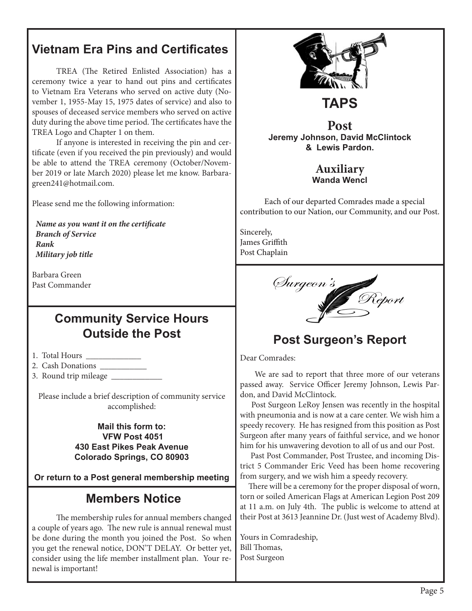## **Vietnam Era Pins and Certificates**

TREA (The Retired Enlisted Association) has a ceremony twice a year to hand out pins and certificates to Vietnam Era Veterans who served on active duty (November 1, 1955-May 15, 1975 dates of service) and also to spouses of deceased service members who served on active duty during the above time period. The certificates have the TREA Logo and Chapter 1 on them.

If anyone is interested in receiving the pin and certificate (even if you received the pin previously) and would be able to attend the TREA ceremony (October/November 2019 or late March 2020) please let me know. Barbaragreen241@hotmail.com.

Please send me the following information:

 *Name as you want it on the certificate Branch of Service Rank Military job title*

Barbara Green Past Commander

## **Community Service Hours Outside the Post**

- 1. Total Hours \_\_\_\_\_\_\_\_\_\_\_\_\_
- 2. Cash Donations \_\_\_\_\_\_\_\_\_\_\_
- 3. Round trip mileage \_\_\_\_\_\_\_\_\_\_\_\_

Please include a brief description of community service accomplished:

#### **Mail this form to: VFW Post 4051 430 East Pikes Peak Avenue Colorado Springs, CO 80903**

**Or return to a Post general membership meeting**

### **Members Notice**

The membership rules for annual members changed a couple of years ago. The new rule is annual renewal must be done during the month you joined the Post. So when you get the renewal notice, DON'T DELAY. Or better yet, consider using the life member installment plan. Your renewal is important!



#### **Post Jeremy Johnson, David McClintock & Lewis Pardon.**

**TAPS**

#### **Auxiliary Wanda Wencl**

Each of our departed Comrades made a special contribution to our Nation, our Community, and our Post.

Sincerely, James Griffith Post Chaplain



## **Post Surgeon's Report**

Dear Comrades:

 We are sad to report that three more of our veterans passed away. Service Officer Jeremy Johnson, Lewis Pardon, and David McClintock.

 Post Surgeon LeRoy Jensen was recently in the hospital with pneumonia and is now at a care center. We wish him a speedy recovery. He has resigned from this position as Post Surgeon after many years of faithful service, and we honor him for his unwavering devotion to all of us and our Post.

 Past Post Commander, Post Trustee, and incoming District 5 Commander Eric Veed has been home recovering from surgery, and we wish him a speedy recovery.

 There will be a ceremony for the proper disposal of worn, torn or soiled American Flags at American Legion Post 209 at 11 a.m. on July 4th. The public is welcome to attend at their Post at 3613 Jeannine Dr. (Just west of Academy Blvd).

Yours in Comradeship, Bill Thomas, Post Surgeon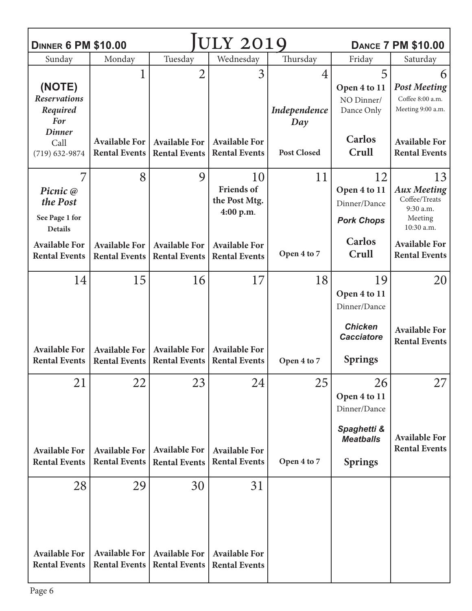| <b>DINNER 6 PM \$10.00</b>                                                            |                                                    |                                                    | <b>ULY 2019</b>                                                               |                          |                                                                           | <b>DANCE 7 PM \$10.00</b>                                                                               |
|---------------------------------------------------------------------------------------|----------------------------------------------------|----------------------------------------------------|-------------------------------------------------------------------------------|--------------------------|---------------------------------------------------------------------------|---------------------------------------------------------------------------------------------------------|
| Sunday                                                                                | Monday                                             | Tuesday                                            | Wednesday                                                                     | Thursday                 | Friday                                                                    | Saturday                                                                                                |
| (NOTE)<br><b>Reservations</b><br>Required<br><b>For</b><br><b>Dinner</b>              | 1                                                  | $\overline{2}$                                     | 3                                                                             | 4<br>Independence<br>Day | 5<br>Open 4 to 11<br>NO Dinner/<br>Dance Only                             | 6<br><b>Post Meeting</b><br>Coffee 8:00 a.m.<br>Meeting 9:00 a.m.                                       |
| Call<br>$(719) 632 - 9874$                                                            | <b>Available For</b><br><b>Rental Events</b>       | <b>Available For</b><br><b>Rental Events</b>       | <b>Available For</b><br><b>Rental Events</b>                                  | <b>Post Closed</b>       | <b>Carlos</b><br>Crull                                                    | <b>Available For</b><br><b>Rental Events</b>                                                            |
| 7<br>Picnic @<br>the Post<br>See Page 1 for<br><b>Details</b><br><b>Available For</b> | 8<br><b>Available For</b>                          | 9<br><b>Available For</b>                          | 10<br><b>Friends</b> of<br>the Post Mtg.<br>4:00 p.m.<br><b>Available For</b> | 11                       | 12<br>Open 4 to 11<br>Dinner/Dance<br><b>Pork Chops</b><br><b>Carlos</b>  | 13<br><b>Aux Meeting</b><br>Coffee/Treats<br>9:30 a.m.<br>Meeting<br>10:30 a.m.<br><b>Available For</b> |
| <b>Rental Events</b>                                                                  | <b>Rental Events</b>                               | <b>Rental Events</b>                               | <b>Rental Events</b>                                                          | Open 4 to 7              | Crull                                                                     | <b>Rental Events</b>                                                                                    |
| 14                                                                                    | 15                                                 | 16                                                 | 17                                                                            | 18                       | 19<br>Open 4 to 11<br>Dinner/Dance<br><b>Chicken</b><br><b>Cacciatore</b> | 20<br><b>Available For</b><br><b>Rental Events</b>                                                      |
| <b>Available For</b><br><b>Rental Events</b>                                          | <b>Available For</b><br><b>Rental Events</b>       | <b>Available For</b><br><b>Rental Events</b>       | <b>Available For</b><br><b>Rental Events</b>                                  | Open 4 to 7              | <b>Springs</b>                                                            |                                                                                                         |
| 21                                                                                    | 22                                                 | 23                                                 | 24                                                                            | 25                       | 26<br>Open 4 to 11<br>Dinner/Dance                                        | 27                                                                                                      |
| <b>Available For</b><br><b>Rental Events</b>                                          | <b>Available For</b><br><b>Rental Events</b>       | <b>Available For</b><br><b>Rental Events</b>       | <b>Available For</b><br><b>Rental Events</b>                                  | Open 4 to 7              | Spaghetti &<br><b>Meatballs</b><br><b>Springs</b>                         | <b>Available For</b><br><b>Rental Events</b>                                                            |
| 28<br><b>Available For</b><br><b>Rental Events</b>                                    | 29<br><b>Available For</b><br><b>Rental Events</b> | 30<br><b>Available For</b><br><b>Rental Events</b> | 31<br><b>Available For</b><br><b>Rental Events</b>                            |                          |                                                                           |                                                                                                         |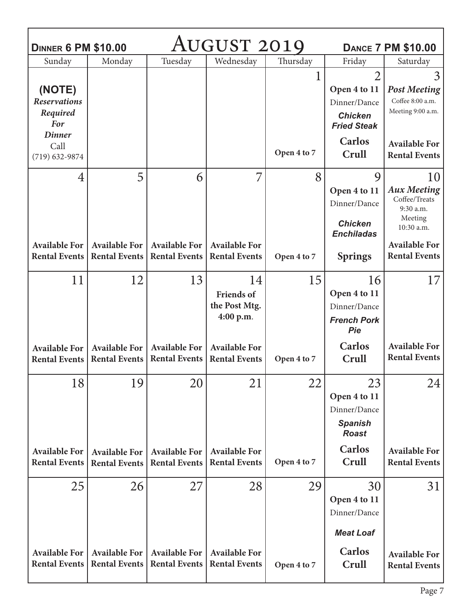| AUGUST 2019<br><b>DINNER 6 PM \$10.00</b><br><b>DANCE 7 PM \$10.00</b> |                                                   |                                                   |                                                       |                  |                                                                                            |                                                                                                                                 |  |
|------------------------------------------------------------------------|---------------------------------------------------|---------------------------------------------------|-------------------------------------------------------|------------------|--------------------------------------------------------------------------------------------|---------------------------------------------------------------------------------------------------------------------------------|--|
| Sunday                                                                 | Monday                                            | Tuesday                                           | Wednesday                                             | Thursday         | Friday                                                                                     | Saturday                                                                                                                        |  |
| (NOTE)<br><b>Reservations</b><br>Required<br><b>For</b>                |                                                   |                                                   |                                                       | 1                | $\overline{2}$<br>Open 4 to 11<br>Dinner/Dance<br><b>Chicken</b><br><b>Fried Steak</b>     | 3<br><b>Post Meeting</b><br>Coffee 8:00 a.m.<br>Meeting 9:00 a.m.                                                               |  |
| <b>Dinner</b><br>Call<br>$(719) 632 - 9874$                            |                                                   |                                                   |                                                       | Open 4 to 7      | <b>Carlos</b><br>Crull                                                                     | <b>Available For</b><br><b>Rental Events</b>                                                                                    |  |
| 4<br><b>Available For</b><br><b>Rental Events</b>                      | 5<br><b>Available For</b><br><b>Rental Events</b> | 6<br><b>Available For</b><br><b>Rental Events</b> | 7<br><b>Available For</b><br><b>Rental Events</b>     | 8<br>Open 4 to 7 | 9<br>Open 4 to 11<br>Dinner/Dance<br><b>Chicken</b><br><b>Enchiladas</b><br><b>Springs</b> | 10<br><b>Aux Meeting</b><br>Coffee/Treats<br>9:30 a.m.<br>Meeting<br>10:30 a.m.<br><b>Available For</b><br><b>Rental Events</b> |  |
| 11                                                                     | 12                                                | 13                                                | 14<br><b>Friends of</b><br>the Post Mtg.<br>4:00 p.m. | 15               | 16<br>Open 4 to 11<br>Dinner/Dance<br><b>French Pork</b><br>Pie                            | 17                                                                                                                              |  |
| <b>Available For</b><br><b>Rental Events</b>                           | <b>Available For</b><br><b>Rental Events</b>      | <b>Available For</b><br><b>Rental Events</b>      | <b>Available For</b><br><b>Rental Events</b>          | Open 4 to 7      | <b>Carlos</b><br>Crull                                                                     | <b>Available For</b><br><b>Rental Events</b>                                                                                    |  |
| 18                                                                     | 19                                                | 20                                                | 21                                                    | 22               | 23<br>Open 4 to 11<br>Dinner/Dance<br><b>Spanish</b><br><b>Roast</b>                       | 24                                                                                                                              |  |
| <b>Available For</b><br><b>Rental Events</b>                           | <b>Available For</b><br><b>Rental Events</b>      | <b>Available For</b><br><b>Rental Events</b>      | <b>Available For</b><br><b>Rental Events</b>          | Open 4 to 7      | <b>Carlos</b><br>Crull                                                                     | <b>Available For</b><br><b>Rental Events</b>                                                                                    |  |
| 25                                                                     | 26                                                | 27                                                | 28                                                    | 29               | 30<br>Open 4 to 11<br>Dinner/Dance<br><b>Meat Loaf</b>                                     | 31                                                                                                                              |  |
| <b>Available For</b><br><b>Rental Events</b>                           | <b>Available For</b><br><b>Rental Events</b>      | <b>Available For</b><br><b>Rental Events</b>      | <b>Available For</b><br><b>Rental Events</b>          | Open 4 to 7      | <b>Carlos</b><br>Crull                                                                     | <b>Available For</b><br><b>Rental Events</b>                                                                                    |  |